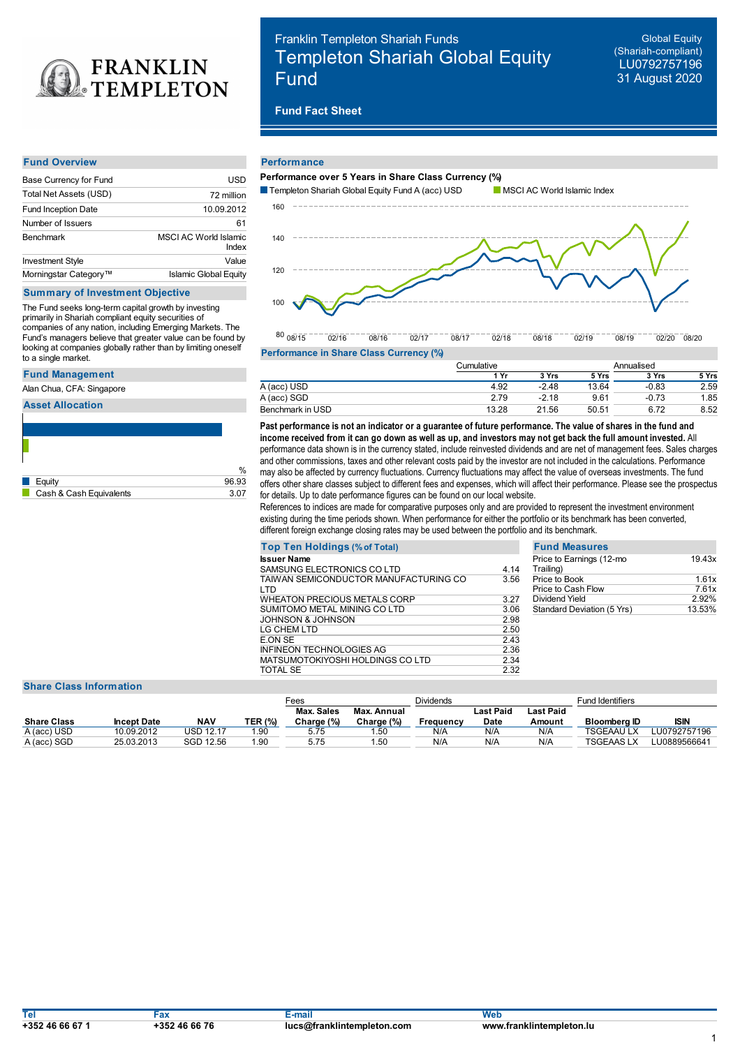

#### **Fund Overview**

| Base Currency for Fund     | USD                            |
|----------------------------|--------------------------------|
| Total Net Assets (USD)     | 72 million                     |
| <b>Fund Inception Date</b> | 10.09.2012                     |
| Number of Issuers          | 61                             |
| <b>Benchmark</b>           | MSCI AC World Islamic<br>Index |
| <b>Investment Style</b>    | Value                          |
| Morningstar Category™      | <b>Islamic Global Equity</b>   |

# **Summary of Investment Objective**

The Fund seeks long-term capital growth by investing primarily in Shariah compliant equity securities of companies of any nation, including Emerging Markets. The Fund's managers believe that greater value can be found by looking at companies globally rather than by limiting oneself to a single market.

### **Fund Management**

Alan Chua, CFA: Singapore

**Asset Allocation**

|                         | $\%$  |
|-------------------------|-------|
| Equity                  | 96.93 |
| Cash & Cash Equivalents | 3.07  |

# Franklin Templeton Shariah Funds Templeton Shariah Global Equity Fund

**Global Equity** (Shariah-compliant) LU0792757196 31 August 2020

# **Fund Fact Sheet**

#### **Performance**



**Performance in Share Class Currency (%)**

|                  | Cumulative |         |       | Annualised |       |
|------------------|------------|---------|-------|------------|-------|
|                  | 1 Yr       | 3 Yrs   | 5 Yrs | 3 Yrs      | 5 Yrs |
| A (acc) USD      | 4.92       | $-2.48$ | 13.64 | $-0.83$    | 2.59  |
| A (acc) SGD      | 2.79       | $-2.18$ | 9.61  | $-0.73$    | 1.85  |
| Benchmark in USD | 13.28      | 21.56   | 50.51 | 6.72       | 8.52  |

 $\%$  may also be affected by currency fluctuations. Currency fluctuations may affect the value of overseas investments. The fund Past performance is not an indicator or a quarantee of future performance. The value of shares in the fund and income received from it can go down as well as up, and investors may not get back the full amount invested. All performance data shown is in the currency stated, include reinvested dividends and are net of management fees. Sales charges and other commissions, taxes and other relevant costs paid by the investor are not included in the calculations. Performance offers other share classes subject to different fees and expenses, which will affect their performance. Please see the prospectus for details. Up to date performance figures can be found on our local website.

References to indices are made for comparative purposes only and are provided to represent the investment environment existing during the time periods shown. When performance for either the portfolio or its benchmark has been converted, different foreign exchange closing rates may be used between the portfolio and its benchmark.

|      | <b>Fund Meas</b>                 |
|------|----------------------------------|
| 4.14 | Price to Earnin<br>Trailing)     |
| 3.56 | Price to Book<br>Price to Cash I |
| 3.27 | Dividend Yield                   |
| 3.06 | <b>Standard Devia</b>            |
| 2.98 |                                  |
| 2.50 |                                  |
| 2.43 |                                  |
| 2.36 |                                  |
| 2.34 |                                  |
| 2.32 |                                  |
|      |                                  |

| <b>Fund Measures</b>                  |        |
|---------------------------------------|--------|
| Price to Earnings (12-mo<br>Trailing) | 19.43x |
| Price to Book                         | 1.61x  |
| Price to Cash Flow                    | 761x   |
| Dividend Yield                        | 2.92%  |
| Standard Deviation (5 Yrs)            | 13.53% |
|                                       |        |

#### **Share Class Information**

|                    |                    |           |                | -ees       |             | <b>Dividends</b> |           |           | Fund Identifiers |              |
|--------------------|--------------------|-----------|----------------|------------|-------------|------------------|-----------|-----------|------------------|--------------|
|                    |                    |           |                | Max. Sales | Max. Annual |                  | Last Paid | Last Paid |                  |              |
| <b>Share Class</b> | <b>Incept Date</b> | NAV       | <b>TER (%)</b> | Charge (%) | Charge (%)  | Frequency        | Date      | Amount    | Bloomberg ID     | isin         |
| A (acc) USD        | 10.09.2012         | JSD 12.17 | 90، ا          | 5.75       | .50         | N/A              | N/A       | N/A       | TSGEAAU LX       | LU0792757196 |
| A (acc) SGD        | 25.03.2013         | SGD 12.56 | 1.90           | 5.75       | .50         | N/A              | N/A       | N/A       | TSGEAAS LX       | -U0889566641 |